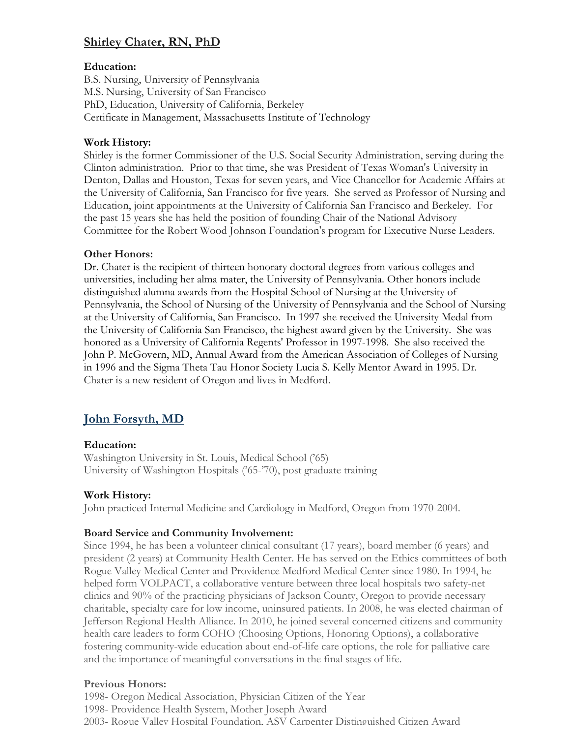# **Shirley Chater, RN, PhD**

### **Education:**

B.S. Nursing, University of Pennsylvania M.S. Nursing, University of San Francisco PhD, Education, University of California, Berkeley Certificate in Management, Massachusetts Institute of Technology

#### **Work History:**

Shirley is the former Commissioner of the U.S. Social Security Administration, serving during the Clinton administration. Prior to that time, she was President of Texas Woman's University in Denton, Dallas and Houston, Texas for seven years, and Vice Chancellor for Academic Affairs at the University of California, San Francisco for five years. She served as Professor of Nursing and Education, joint appointments at the University of California San Francisco and Berkeley. For the past 15 years she has held the position of founding Chair of the National Advisory Committee for the Robert Wood Johnson Foundation's program for Executive Nurse Leaders.

## **Other Honors:**

Dr. Chater is the recipient of thirteen honorary doctoral degrees from various colleges and universities, including her alma mater, the University of Pennsylvania. Other honors include distinguished alumna awards from the Hospital School of Nursing at the University of Pennsylvania, the School of Nursing of the University of Pennsylvania and the School of Nursing at the University of California, San Francisco. In 1997 she received the University Medal from the University of California San Francisco, the highest award given by the University. She was honored as a University of California Regents' Professor in 1997-1998. She also received the John P. McGovern, MD, Annual Award from the American Association of Colleges of Nursing in 1996 and the Sigma Theta Tau Honor Society Lucia S. Kelly Mentor Award in 1995. Dr. Chater is a new resident of Oregon and lives in Medford.

# **John Forsyth, MD**

## **Education:**

Washington University in St. Louis, Medical School ('65) University of Washington Hospitals ('65-'70), post graduate training

## **Work History:**

John practiced Internal Medicine and Cardiology in Medford, Oregon from 1970-2004.

#### **Board Service and Community Involvement:**

Since 1994, he has been a volunteer clinical consultant (17 years), board member (6 years) and president (2 years) at Community Health Center. He has served on the Ethics committees of both Rogue Valley Medical Center and Providence Medford Medical Center since 1980. In 1994, he helped form VOLPACT, a collaborative venture between three local hospitals two safety-net clinics and 90% of the practicing physicians of Jackson County, Oregon to provide necessary charitable, specialty care for low income, uninsured patients. In 2008, he was elected chairman of Jefferson Regional Health Alliance. In 2010, he joined several concerned citizens and community health care leaders to form COHO (Choosing Options, Honoring Options), a collaborative fostering community-wide education about end-of-life care options, the role for palliative care and the importance of meaningful conversations in the final stages of life.

#### **Previous Honors:**

1998- Oregon Medical Association, Physician Citizen of the Year 1998- Providence Health System, Mother Joseph Award 2003- Rogue Valley Hospital Foundation, ASV Carpenter Distinguished Citizen Award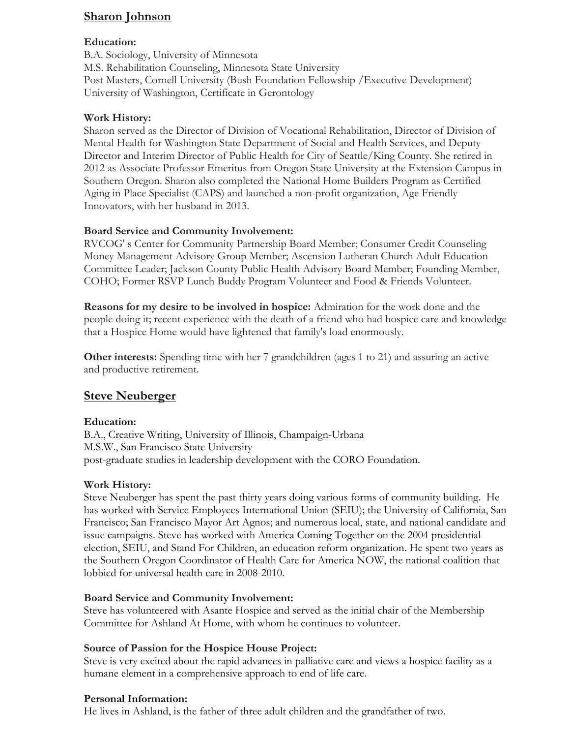## **Sharon Johnson**

#### **Education:**

B.A. Sociology, University of Minnesota M.S. Rehabilitation Counseling, Minnesota State University Post Masters, Cornell University (Bush Foundation Fellowship /Executive Development) University of Washington, Certificate in Gerontology

#### **Work History:**

Sharon served as the Director of Division of Vocational Rehabilitation, Director of Division of Mental Health for Washington State Department of Social and Health Services, and Deputy Director and Interim Director of Public Health for City of Seattle/King County. She retired in 2012 as Associate Professor Emeritus from Oregon State University at the Extension Campus in Southern Oregon. Sharon also completed the National Home Builders Program as Certified Aging in Place Specialist (CAPS) and launched a non-profit organization, Age Friendly Innovators, with her husband in 2013.

### **Board Service and Community Involvement:**

RVCOG' s Center for Community Partnership Board Member; Consumer Credit Counseling Money Management Advisory Group Member; Ascension Lutheran Church Adult Education Committee Leader; Jackson County Public Health Advisory Board Member; Founding Member, COHO; Former RSVP Lunch Buddy Program Volunteer and Food & Friends Volunteer.

**Reasons for my desire to be involved in hospice:** Admiration for the work done and the people doing it; recent experience with the death of a friend who had hospice care and knowledge that a Hospice Home would have lightened that family's load enormously.

**Other interests:** Spending time with her 7 grandchildren (ages 1 to 21) and assuring an active and productive retirement.

## **Steve Neuberger**

#### **Education:**

B.A., Creative Writing, University of Illinois, Champaign-Urbana M.S.W., San Francisco State University post-graduate studies in leadership development with the CORO Foundation.

#### **Work History:**

Steve Neuberger has spent the past thirty years doing various forms of community building. He has worked with Service Employees International Union (SEIU); the University of California, San Francisco; San Francisco Mayor Art Agnos; and numerous local, state, and national candidate and issue campaigns. Steve has worked with America Coming Together on the 2004 presidential election, SEIU, and Stand For Children, an education reform organization. He spent two years as the Southern Oregon Coordinator of Health Care for America NOW, the national coalition that lobbied for universal health care in 2008-2010.

#### **Board Service and Community Involvement:**

Steve has volunteered with Asante Hospice and served as the initial chair of the Membership Committee for Ashland At Home, with whom he continues to volunteer.

#### **Source of Passion for the Hospice House Project:**

Steve is very excited about the rapid advances in palliative care and views a hospice facility as a humane element in a comprehensive approach to end of life care.

#### **Personal Information:**

He lives in Ashland, is the father of three adult children and the grandfather of two.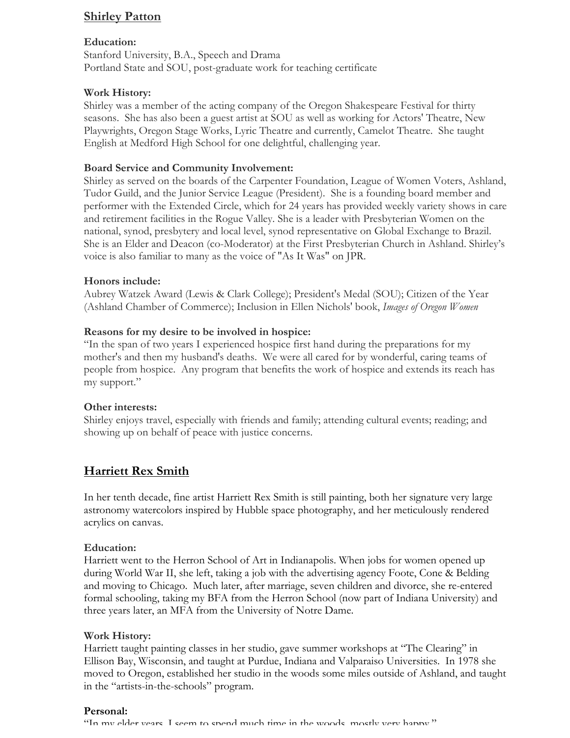## **Shirley Patton**

#### **Education:**

Stanford University, B.A., Speech and Drama Portland State and SOU, post-graduate work for teaching certificate

#### **Work History:**

Shirley was a member of the acting company of the Oregon Shakespeare Festival for thirty seasons. She has also been a guest artist at SOU as well as working for Actors' Theatre, New Playwrights, Oregon Stage Works, Lyric Theatre and currently, Camelot Theatre. She taught English at Medford High School for one delightful, challenging year.

#### **Board Service and Community Involvement:**

Shirley as served on the boards of the Carpenter Foundation, League of Women Voters, Ashland, Tudor Guild, and the Junior Service League (President). She is a founding board member and performer with the Extended Circle, which for 24 years has provided weekly variety shows in care and retirement facilities in the Rogue Valley. She is a leader with Presbyterian Women on the national, synod, presbytery and local level, synod representative on Global Exchange to Brazil. She is an Elder and Deacon (co-Moderator) at the First Presbyterian Church in Ashland. Shirley's voice is also familiar to many as the voice of "As It Was" on JPR.

#### **Honors include:**

Aubrey Watzek Award (Lewis & Clark College); President's Medal (SOU); Citizen of the Year (Ashland Chamber of Commerce); Inclusion in Ellen Nichols' book, *Images of Oregon Women*

#### **Reasons for my desire to be involved in hospice:**

"In the span of two years I experienced hospice first hand during the preparations for my mother's and then my husband's deaths. We were all cared for by wonderful, caring teams of people from hospice. Any program that benefits the work of hospice and extends its reach has my support."

#### **Other interests:**

Shirley enjoys travel, especially with friends and family; attending cultural events; reading; and showing up on behalf of peace with justice concerns.

## **Harriett Rex Smith**

In her tenth decade, fine artist Harriett Rex Smith is still painting, both her signature very large astronomy watercolors inspired by Hubble space photography, and her meticulously rendered acrylics on canvas.

#### **Education:**

Harriett went to the Herron School of Art in Indianapolis. When jobs for women opened up during World War II, she left, taking a job with the advertising agency Foote, Cone & Belding and moving to Chicago. Much later, after marriage, seven children and divorce, she re-entered formal schooling, taking my BFA from the Herron School (now part of Indiana University) and three years later, an MFA from the University of Notre Dame.

#### **Work History:**

Harriett taught painting classes in her studio, gave summer workshops at "The Clearing" in Ellison Bay, Wisconsin, and taught at Purdue, Indiana and Valparaiso Universities. In 1978 she moved to Oregon, established her studio in the woods some miles outside of Ashland, and taught in the "artists-in-the-schools" program.

#### **Personal:**

"In my elder years. I seem to spend much time in the woods, mostly very happy."